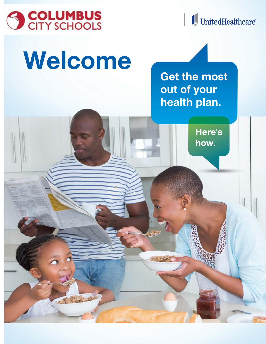

 $\mathcal{G}_{\mathbf{Z}}$ 

I UnitedHealthcare®

# Welcome

**Get the most** out of your health plan.

Here's how.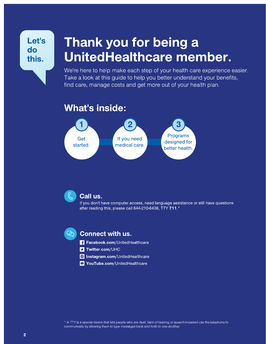### Let's do this.

## Thank you for being a UnitedHealthcare member.

We're here to help make each step of your health care experience easier. Take a look at this guide to help you better understand your benefits, find care, manage costs and get more out of your health plan.

### **What's inside:**



#### Call us.

If you don't have computer access, need language assistance or still have questions after reading this, please call 844-210-6436, TTY 711.\*



#### **Connect with us.**

- Facebook.com/UnitedHealthcare
- **S** Twitter.com/UHC
- o Instagram.com/UnitedHealthcare
- P YouTube.com/UnitedHealthcare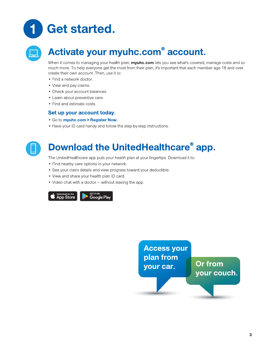



### Activate your myuhc.com<sup>®</sup> account.

When it comes to managing your health plan, myuhc.com lets you see what's covered, manage costs and so much more. To help everyone get the most from their plan, it's important that each member age 18 and over create their own account. Then, use it to:

- Find a network doctor.
- View and pay claims.
- Check your account balances.
- Learn about preventive care.
- Find and estimate costs.

#### Set up your account today.

- . Go to myuhc.com > Register Now.
- Have your ID card handy and follow the step-by-step instructions.



### Download the UnitedHealthcare® app.

The UnitedHealthcare app puts your health plan at your fingertips. Download it to:

- Find nearby care options in your network.
- See your claim details and view progress toward your deductible.
- View and share your health plan ID card.
- Video chat with a doctor without leaving the app.



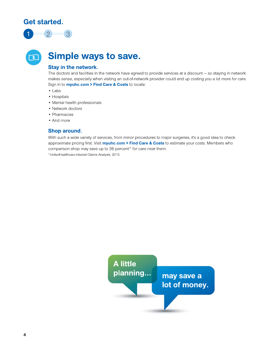#### Get started.



 $\overline{\mathbf{S}}$ 

### **Simple ways to save.**

#### **Stay in the network.**

The doctors and facilities in the network have agreed to provide services at a discount - so staying in network makes sense, especially when visiting an out-of-network provider could end up costing you a lot more for care. Sign in to **myuhc.com > Find Care & Costs** to locate:

- $\bullet$  Labs
- Hospitals
- Mental health professionals
- Network doctors
- Pharmacies
- And more

#### Shop around.

With such a wide variety of services, from minor procedures to major surgeries, it's a good idea to check approximate pricing first. Visit myuhc.com > Find Care & Costs to estimate your costs. Members who comparison shop may save up to 36 percent\* for care near them.

\*UnitedHealthcare Internal Claims Analysis, 2015.

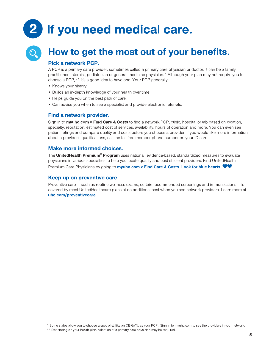# If you need medical care.



### How to get the most out of your benefits.

#### Pick a network PCP.

A PCP is a primary care provider, sometimes called a primary care physician or doctor. It can be a family practitioner, internist, pediatrician or general medicine physician.\* Although your plan may not require you to choose a PCP,<sup>\*\*</sup> it's a good idea to have one. Your PCP generally:

- Knows your history.
- Builds an in-depth knowledge of your health over time.
- Helps guide you on the best path of care.
- Can advise you when to see a specialist and provide electronic referrals.

#### Find a network provider.

Sign in to myuhc.com > Find Care & Costs to find a network PCP, clinic, hospital or lab based on location, specialty, reputation, estimated cost of services, availability, hours of operation and more. You can even see patient ratings and compare quality and costs before you choose a provider. If you would like more information about a provider's qualifications, call the toll-free member phone number on your ID card.

#### Make more informed choices.

The UnitedHealth Premium® Program uses national, evidence-based, standardized measures to evaluate physicians in various specialties to help you locate quality and cost-efficient providers. Find UnitedHealth Premium Care Physicians by going to myuhc.com > Find Care & Costs. Look for blue hearts. ♥♥

#### Keep up on preventive care.

Preventive care – such as routine wellness exams, certain recommended screenings and immunizations – is covered by most UnitedHealthcare plans at no additional cost when you see network providers. Learn more at uhc.com/preventivecare.

\* Some states allow you to choose a specialist, like an OB-GYN, as your PCP. Sign in to myuhc.com to see the providers in your network.

<sup>\*\*</sup> Depending on your health plan, selection of a primary care physician may be required.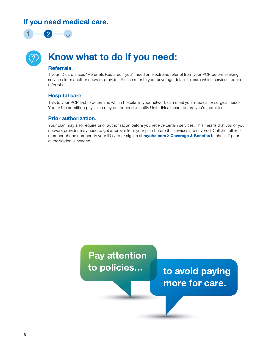#### If you need medical care.



### Know what to do if you need:

#### Referrals.

If your ID card states "Referrals Required," you'll need an electronic referral from your PCP before seeking services from another network provider. Please refer to your coverage details to learn which services require referrals.

#### **Hospital care.**

Talk to your PCP first to determine which hospital in your network can meet your medical or surgical needs. You or the admitting physician may be required to notify UnitedHealthcare before you're admitted.

#### **Prior authorization.**

Your plan may also require prior authorization before you receive certain services. This means that you or your network provider may need to get approval from your plan before the services are covered. Call the toll-free member phone number on your ID card or sign in at myuhc.com > Coverage & Benefits to check if prior authorization is needed.

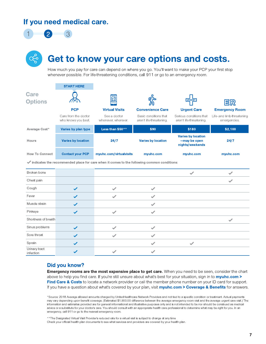#### If you need medical care.



### Get to know your care options and costs.

How much you pay for care can depend on where you go. You'll want to make your PCP your first stop whenever possible. For life-threatening conditions, call 911 or go to an emergency room.

|                               | <b>START HERE</b>                           |                                                                                                                 |                                                   |                                                              |                                            |
|-------------------------------|---------------------------------------------|-----------------------------------------------------------------------------------------------------------------|---------------------------------------------------|--------------------------------------------------------------|--------------------------------------------|
| <b>Care</b><br><b>Options</b> |                                             |                                                                                                                 |                                                   | <b>URGENT</b>                                                | ER                                         |
|                               | <b>PCP</b>                                  | <b>Virtual Visits</b>                                                                                           | <b>Convenience Care</b>                           | <b>Urgent Care</b>                                           | <b>Emergency Room</b>                      |
|                               | Care from the doctor<br>who knows you best. | See a doctor<br>whenever, wherever.                                                                             | Basic conditions that<br>aren't life-threatening. | Serious conditions that<br>aren't life-threatening.          | Life- and limb-threatening<br>emergencies. |
| Average Cost*                 | Varies by plan type                         | Less than \$50**                                                                                                | \$90                                              | \$180                                                        | \$2,100                                    |
| <b>Hours</b>                  | <b>Varies by location</b>                   | 24/7                                                                                                            | <b>Varies by location</b>                         | <b>Varies by location</b><br>-may be open<br>nights/weekends | 24/7                                       |
| <b>How To Connect</b>         | <b>Contact your PCP</b>                     | myuhc.com/virtualvisits                                                                                         | myuhc.com                                         | myuhc.com                                                    | myuhc.com                                  |
|                               |                                             | $\blacktriangledown$ indicates the recommended place for care when it comes to the following common conditions: |                                                   |                                                              |                                            |
| Broken bone                   |                                             |                                                                                                                 |                                                   | $\checkmark$                                                 |                                            |
| Chest pain                    |                                             |                                                                                                                 |                                                   |                                                              |                                            |
| Cough                         | ✓                                           |                                                                                                                 | $\checkmark$                                      |                                                              |                                            |
| Fever                         |                                             |                                                                                                                 | ✔                                                 |                                                              |                                            |
| Muscle strain                 | ✓                                           |                                                                                                                 | $\checkmark$                                      |                                                              |                                            |
| Pinkeye                       |                                             | $\checkmark$                                                                                                    | $\checkmark$                                      |                                                              |                                            |
| Shortness of breath           |                                             |                                                                                                                 |                                                   |                                                              | $\checkmark$                               |
| Sinus problems                | $\checkmark$                                |                                                                                                                 | $\overline{\phantom{a}}$                          |                                                              |                                            |
| Sore throat                   | ✓                                           | ✓                                                                                                               | ✔                                                 |                                                              |                                            |
| Sprain                        |                                             |                                                                                                                 |                                                   | $\checkmark$                                                 |                                            |
| Urinary tract<br>infection    |                                             |                                                                                                                 |                                                   |                                                              |                                            |

#### Did you know?

Emergency rooms are the most expensive place to get care. When you need to be seen, consider the chart above to help you find care. If you're still unsure about what's best for your situation, sign in to myuhc.com > Find Care & Costs to locate a network provider or call the member phone number on your ID card for support. If you have a question about what's covered by your plan, visit **myuhc.com > Coverage & Benefits** for answers.

\*Source: 2018 Average allowed amounts charged by UnitedHealthcare Network Providers and not tied to a specific condition or treatment. Actual payments may vary depending upon benefit coverage. (Estimated \$1,900.00 difference between the average emergency room visit and the average urgent care visit.) The information and estimates provided are for general informational and illustrative purposes only and is not intended to be nor should be construed as medical advice or a substitute for your doctor's care. You should consult with an appropriate health care professional to determine what may be right for you. In an emergency, call 911 or go to the nearest emergency room.

\*\* The Designated Virtual Visit Provider's reduced rate for a virtual visit is subject to change at any time Check your official health plan documents to see what services and providers are covered by your health plan.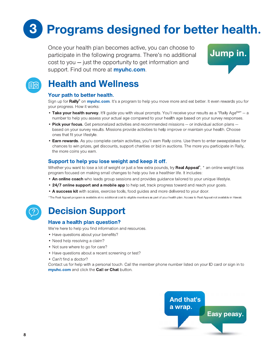# **Programs designed for better health.**

Once your health plan becomes active, you can choose to participate in the following programs. There's no additional  $\cos t$  to you  $-$  just the opportunity to get information and support. Find out more at myuhc.com.





### **Health and Wellness**

#### Your path to better health.

Sign up for Rally<sup>®</sup> on myuhc.com. It's a program to help you move more and eat better. It even rewards you for your progress. How it works:

- Take your health survey. It'll guide you with visual prompts. You'll receive your results as a "Rally Age" a number to help you assess your actual age compared to your health age based on your survey responses.
- Pick your focus. Get personalized activities and recommended missions or individual action plans based on your survey results. Missions provide activities to help improve or maintain your health. Choose ones that fit your lifestyle.
- Earn rewards. As you complete certain activities, you'll earn Rally coins. Use them to enter sweepstakes for chances to win prizes, get discounts, support charities or bid in auctions. The more you participate in Rally, the more coins you earn.

#### Support to help you lose weight and keep it off.

Whether you want to lose a lot of weight or just a few extra pounds, try Real Appeal<sup>®</sup>, \* an online weight loss program focused on making small changes to help you live a healthier life. It includes:

- . An online coach who leads group sessions and provides guidance tailored to your unique lifestyle.
- 24/7 online support and a mobile app to help set, track progress toward and reach your goals.
- . A success kit with scales, exercise tools, food guides and more delivered to your door.

\*The Real Appeal program is available at no additional cost to eligible members as part of your health plan. Access to Real Appeal not available in Hawaii.



### **Decision Support**

#### Have a health plan question?

We're here to help you find information and resources.

- Have questions about your benefits?
- Need help resolving a claim?
- Not sure where to go for care?
- Have questions about a recent screening or test?
- Can't find a doctor?

Contact us for help with a personal touch. Call the member phone number listed on your ID card or sign in to myuhc.com and click the Call or Chat button.

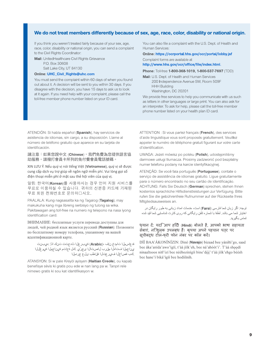#### We do not treat members differently because of sex, age, race, color, disability or national origin.

If you think you weren't treated fairly because of your sex, age, race, color, disability or national origin, you can send a complaint to the Civil Rights Coordinator:

**Mail:** UnitedHealthcare Civil Rights Grievance P.O. Box 30608

Salt Lake City, UT 84130

#### Online: UHC\_Civil\_Rights@uhc.com

You must send the complaint within 60 days of when you found out about it. A decision will be sent to you within 30 days. If you disagree with the decision, you have 15 days to ask us to look at it again. If you need help with your complaint, please call the toll-free member phone number listed on your ID card.

You can also file a complaint with the U.S. Dept. of Health and Human Services:

#### Online: https://ocrportal.hhs.gov/ocr/portal/lobby.jsf

Complaint forms are available at

http://www.hhs.gov/ocr/office/file/index.html.

#### Phone: Toll-free 1-800-368-1019, 1-800-537-7697 (TDD)

Mail: U.S. Dept. of Health and Human Services 200 Independence Avenue SW, Room 509F **HHH Building** Washington, DC 20201

We provide free services to help you communicate with us such as letters in other languages or large print. You can also ask for an interpreter. To ask for help, please call the toll-free member phone number listed on your health plan ID card.

ATENCIÓN: Si habla español (Spanish), hay servicios de asistencia de idiomas, sin cargo, a su disposición. Llame al número de teléfono gratuito que aparece en su tarjeta de identificación.

請注意:如果您說中文 (Chinese), 我們免費為您提供語言協 助服務。請撥打會員卡所列的免付費會員電話號碼。

XIN LƯU Ý: Nếu quý vị nói tiếng Việt (Vietnamese), quý vị sẽ được cung cấp dịch vụ trợ giúp về ngôn ngữ miễn phí. Vui lòng gọi số điện thoại miễn phí ở mặt sau thẻ hội viên của quý vị.

알림: 한국어(Korean)를 사용하시는 경우 언어 지원 서비스를 무료로 이용하실 수 있습니다. 귀하의 신분증 카드에 기재된 무료 회원 전화번호로 문의하口시오.

PAALALA: Kung nagsasalita ka ng Tagalog (Tagalog), may makukuha kang mga libreng serbisyo ng tulong sa wika. Pakitawagan ang toll-free na numero ng telepono na nasa iyong identification card.

ВНИМАНИЕ: бесплатные услуги перевода доступны для людей, чей родной язык является русский (Russian). Позвоните по бесплатному номеру телефона, указанному на вашей идентификационной карте.

قدع اس مل ات امدخ ن اف (Arabic) قيب رعل الشدحت ت نك اذا : ميبنت ين اجمل افت اهل اجق رب ل اصت ال الى جر و ع الخل ذح الله ةي الجمل الذي و غلل ا في تصاخل في عتل تقاطب على جردمل

ATANSYON: Si w pale Kreyòl ayisyen (Haitian Creole), ou kapab benefisye sèvis ki gratis pou ede w nan lang pa w. Tanpri rele nimewo gratis ki sou kat idantifikasyon w.

ATTENTION : Si vous parlez français (French), des services d'aide linguistique vous sont proposés gratuitement. Veuillez appeler le numéro de téléphone gratuit figurant sur votre carte d'identification.

UWAGA: Jeżeli mówisz po polsku (Polish), udostępniliśmy darmowe usługi tłumacza. Prosimy zadzwonić pod bezpłatny numer telefonu podany na karcie identyfikacyjnej.

ATENÇÃO: Se você fala português (Portuguese), contate o serviço de assistência de idiomas gratuito. Ligue gratuitamente para o número encontrado no seu cartão de identificação. ACHTUNG: Falls Sie Deutsch (German) sprechen, stehen Ihnen kostenlos sprachliche Hilfsdienstleistungen zur Verfügung. Bitte rufen Sie die gebührenfreie Rufnummer auf der Rückseite Ihres Mitgliedsausweises an.

توجه: اگر زبان شما فارسی (**Farsi)** است، خدمات امداد زبانی به طور رایگان در اختیار شما می باشد. لطفا با شماره تلفن رایگانی که روی کارت شناسایی شما قید شده تماس بگیر پد.

#### ध़यान दें: यद िआप हदिौ (Hindi) बोलते है, आपको भाषा सहायता सेबाएं, न:शिलक उपलबध हैं। कृपया अपने पहचान पतर पर सूचीबद्ध टोल-फरी फोन नंबर पर कॉल करें।

DÍÍ BAA'ÁKONÍNÍZIN: Diné (Navajo) bizaad bee yániłti'go, saad bee áka'anída'awo'ígíí, t'áá jíík'eh, bee ná'ahóót'i'. T'áá shoodí ninaaltsoos nitl'izí bee nééhozinígií bine'déé' t'áá jiík'ehgo béésh bee hane'i biká'ígíi bee hodíilnih.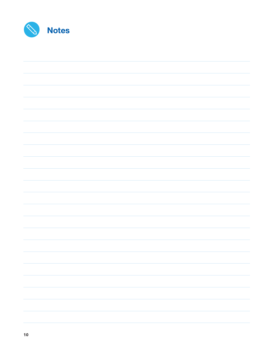| 70 | <b>Notes</b> |
|----|--------------|
|----|--------------|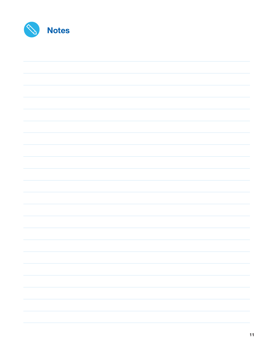| 70 | <b>Notes</b> |
|----|--------------|
|----|--------------|